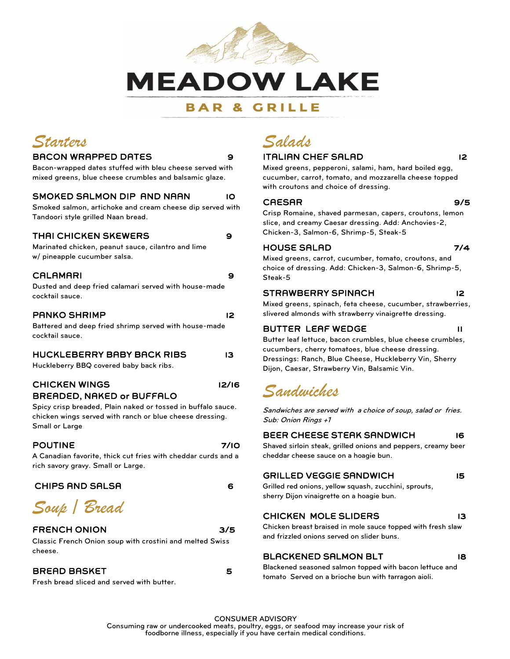

### **BAR & GRILLE**



#### BACON WRAPPED DATES 9

Bacon-wrapped dates stuffed with bleu cheese served with mixed greens, blue cheese crumbles and balsamic glaze.

#### SMOKED SALMON DIP AND NAAN 10

Smoked salmon, artichoke and cream cheese dip served with Tandoori style grilled Naan bread.

#### THAI CHICKEN SKEWERS **9**

Marinated chicken, peanut sauce, cilantro and lime w/ pineapple cucumber salsa.

#### CALAMARI 9

Dusted and deep fried calamari served with house-made cocktail sauce.

#### PANKO SHRIMP 12

Battered and deep fried shrimp served with house-made cocktail sauce.

#### HUCKLEBERRY BABY BACK RIBS 13

Huckleberry BBQ covered baby back ribs.

#### CHICKEN WINGS 12/16 BREADED, NAKED or BUFFALO

Spicy crisp breaded, Plain naked or tossed in buffalo sauce. chicken wings served with ranch or blue cheese dressing. Small or Large

#### POUTINE 7/10

A Canadian favorite, thick cut fries with cheddar curds and a rich savory gravy. Small or Large.

#### CHIPS AND SALSA 6

*Soup / Bread* 

#### FRENCH ONION 3/5

Classic French Onion soup with crostini and melted Swiss cheese.

#### BREAD BASKET 55

Fresh bread sliced and served with butter.

#### ITALIAN CHEF SALAD 12

Mixed greens, pepperoni, salami, ham, hard boiled egg, cucumber, carrot, tomato, and mozzarella cheese topped with croutons and choice of dressing.

#### CAESAR 9/5

Crisp Romaine, shaved parmesan, capers, croutons, lemon slice, and creamy Caesar dressing. Add: Anchovies-2, Chicken-3, Salmon-6, Shrimp-5, Steak-5

#### HOUSE SALAD 7/4

Mixed greens, carrot, cucumber, tomato, croutons, and choice of dressing. Add: Chicken-3, Salmon-6, Shrimp-5, Steak-5

#### STRAWBERRY SPINACH 12

Mixed greens, spinach, feta cheese, cucumber, strawberries, slivered almonds with strawberry vinaigrette dressing.

#### BUTTER LEAF WEDGE THE 11

Butter leaf lettuce, bacon crumbles, blue cheese crumbles, cucumbers, cherry tomatoes, blue cheese dressing. Dressings: Ranch, Blue Cheese, Huckleberry Vin, Sherry Dijon, Caesar, Strawberry Vin, Balsamic Vin.

## *Sandwiches*

Sandwiches are served with a choice of soup, salad or fries. Sub: Onion Rings +1

### BEER CHEESE STEAK SANDWICH 16

Shaved sirloin steak, grilled onions and peppers, creamy beer cheddar cheese sauce on a hoagie bun.

#### GRILLED VEGGIE SANDWICH 15

Grilled red onions, yellow squash, zucchini, sprouts, sherry Dijon vinaigrette on a hoagie bun.

#### CHICKEN MOLE SLIDERS 13

Chicken breast braised in mole sauce topped with fresh slaw and frizzled onions served on slider buns.

#### BLACKENED SALMON BLT 18

Blackened seasoned salmon topped with bacon lettuce and tomato Served on a brioche bun with tarragon aioli.